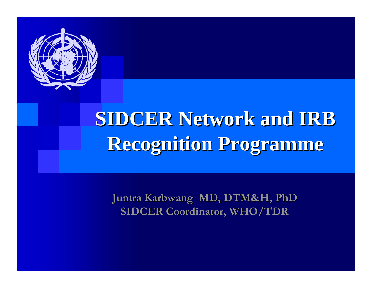

## **SIDCER Network and IRB Recognition Programme Recognition Programme**

**Juntra Karbwang MD, DTM&H, PhD Juntra Karbwang MD, DTM&H, PhD SIDCER Coordinator, WHO/TDR SIDCER Coordinator, WHO/TDR**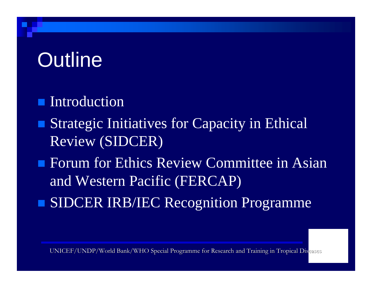## **Outline**

- **Introduction**
- п Strategic Initiatives for Capacity in Ethical Review (SIDCER)
- **Forum for Ethics Review Committee in Asian** and Western Pacific (FERCAP)
- SIDCER IRB/IEC Recognition Programme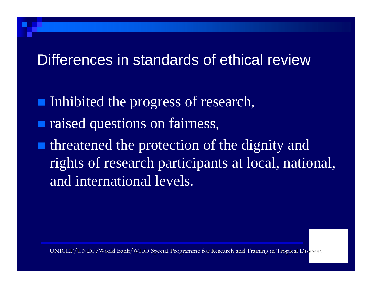#### Differences in standards of ethical review

- Inhibited the progress of research,
- raised questions on fairness,
- threatened the protection of the dignity and rights of research participants at local, national, and international levels.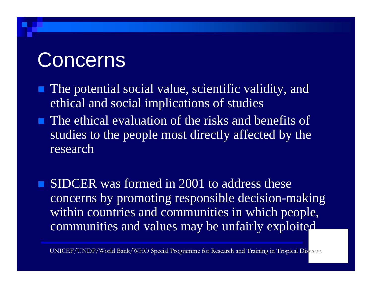#### **Concerns**

- **The potential social value, scientific validity, and** ethical and social implications of studies
- **The ethical evaluation of the risks and benefits of** studies to the people most directly affected by the research
- SIDCER was formed in 2001 to address these concerns by promoting responsible decision-making within countries and communities in which people, communities and values may be unfairly exploited.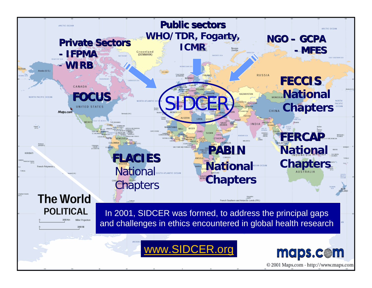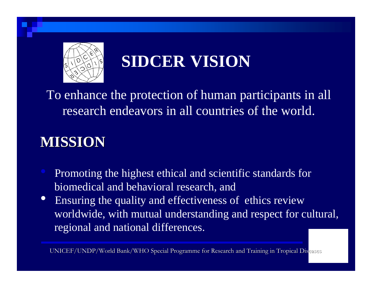

#### **SIDCER VISION**

To enhance the protection of human participants in all research endeavors in all countries of the world.

#### **MISSION MISSION**

- Promoting the highest ethical and scientific standards for biomedical and behavioral research, and
- $\bullet$  Ensuring the quality and effectiveness of ethics review worldwide, with mutual understanding and respect for cultural, regional and national differences.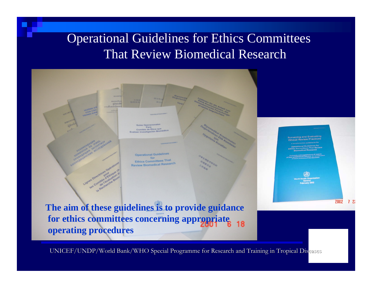#### Operational Guidelines for Ethics Committees That Review Biomedical Research



**The aim of these guidelines is to provide guidance for ethics committees concerning appropriate** 18 **operating procedures**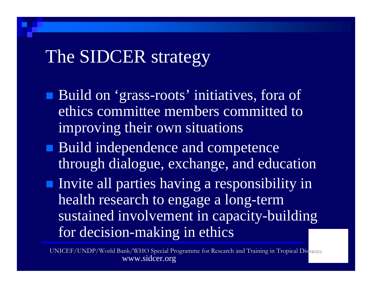#### The SIDCER strategy

- Build on 'grass-roots' initiatives, fora of ethics committee members committed to improving their own situations
- **Build independence and competence** through dialogue, exchange, and education
- **Invite all parties having a responsibility in** health research to engage a long-term sustained involvement in capacity-building for decision-making in ethics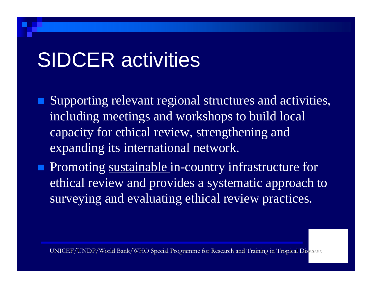## SIDCER activities

■ Supporting relevant regional structures and activities, including meetings and workshops to build local capacity for ethical review, strengthening and expanding its international network.

**Promoting sustainable in-country infrastructure for** ethical review and provides a systematic approach to surveying and evaluating ethical review practices.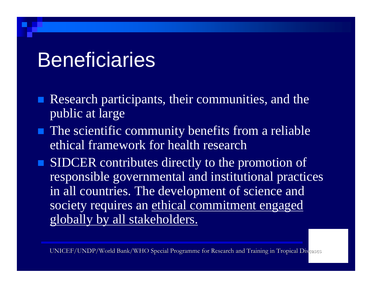#### **Beneficiaries**

- $\blacksquare$  Research participants, their communities, and the public at large
- **The scientific community benefits from a reliable** ethical framework for health research
- SIDCER contributes directly to the promotion of responsible governmental and institutional practices in all countries. The development of science and society requires an ethical commitment engaged globally by all stakeholders.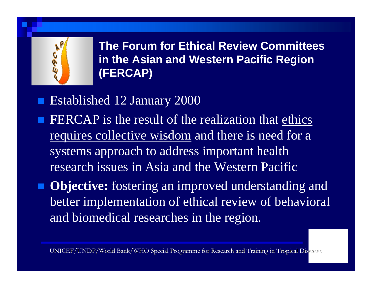

**The Forum for Ethical Review Committees in the Asian and Western Pacific Region (FERCAP)**

- Established 12 January 2000
- FERCAP is the result of the realization that ethics requires collective wisdom and there is need for a systems approach to address important health research issues in Asia and the Western Pacific
- **Objective:** fostering an improved understanding and better implementation of ethical review of behavioral and biomedical researches in the region.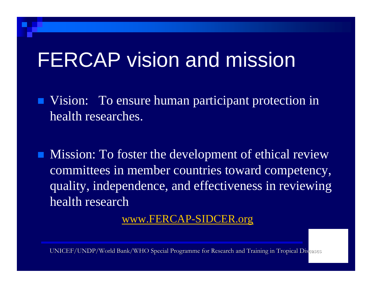## FERCAP vision and mission

- **Vision:** To ensure human participant protection in health researches.
- $\blacksquare$  Mission: To foster the development of ethical review committees in member countries toward competency, quality, independence, and effectiveness in reviewing health research

www.FERCAP-SIDCER.org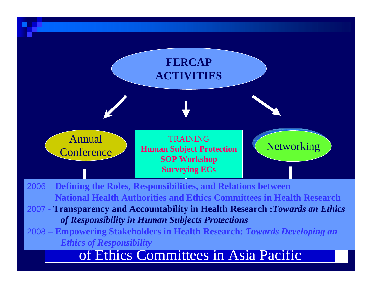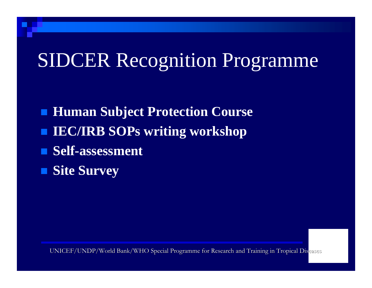#### SIDCER Recognition Programme

**Human Subject Protection Course IEC/IRB SOPs writing workshop** ■ Self-assessment **Site Survey**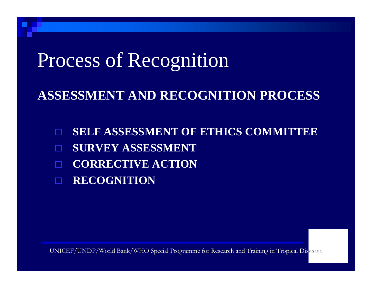#### Process of Recognition

#### **ASSESSMENT AND RECOGNITION PROCESS**

 **SELF ASSESSMENT OF ETHICS COMMITTEE**  П **SURVEY ASSESSMENT CORRECTIVE ACTION RECOGNITION**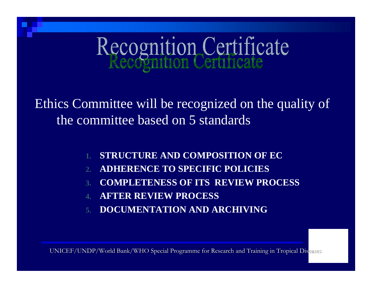# Recognition Certificate

Ethics Committee will be recognized on the quality of the committee based on 5 standards

- **STRUCTURE AND COMPOSITION OF EC**
- **2.ADHERENCE TO SPECIFIC POLICIES**
- **3.COMPLETENESS OF ITS REVIEW PROCESS**
- **4.AFTER REVIEW PROCESS**
- **5.DOCUMENTATION AND ARCHIVING**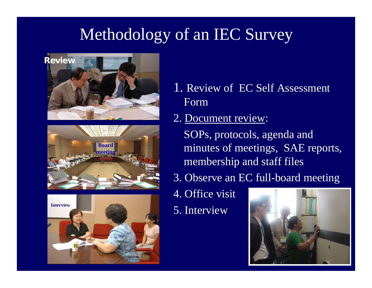#### Methodology of an IEC Survey







- 1. Review of EC Self Assessment Form
- 2. Document review:
	- SOPs, protocols, agenda and minutes of meetings, SAE reports, membership and staff files
- 3. Observe an EC full-board meeting
- 4. Office visit
- 5. Interview

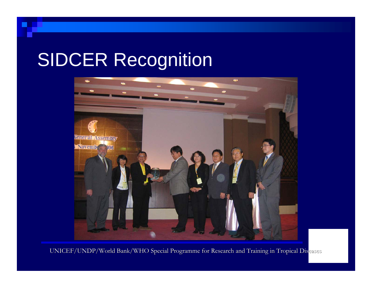### SIDCER Recognition

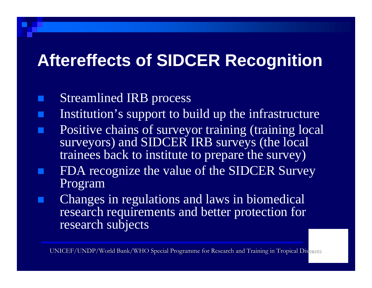#### **Aftereffects of SIDCER Recognition**

- Streamlined IRB process
- Institution's support to build up the infrastructure
- Positive chains of surveyor training (training local surveyors) and SIDCER IRB surveys (the local trainees back to institute to prepare the survey)
- FDA recognize the value of the SIDCER Survey Program
- Changes in regulations and laws in biomedical research requirements and better protection for research subjects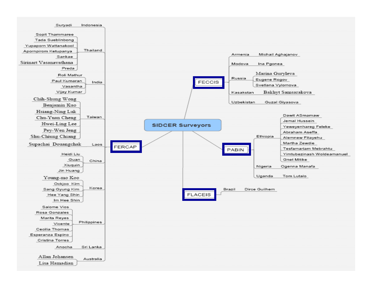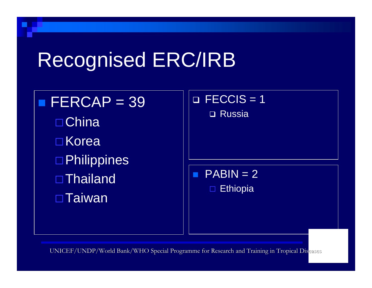## Recognised ERC/IRB

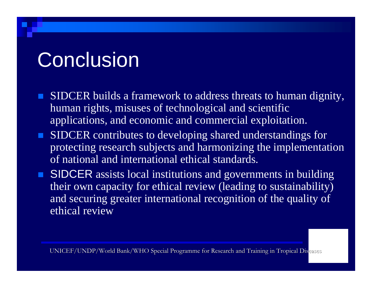## **Conclusion**

- SIDCER builds a framework to address threats to human dignity, human rights, misuses of technological and scientific applications, and economic and commercial exploitation.
- SIDCER contributes to developing shared understandings for protecting research subjects and harmonizing the implementation of national and international ethical standards.
- **SIDCER** assists local institutions and governments in building their own capacity for ethical review (leading to sustainability) and securing greater international recognition of the quality of ethical review